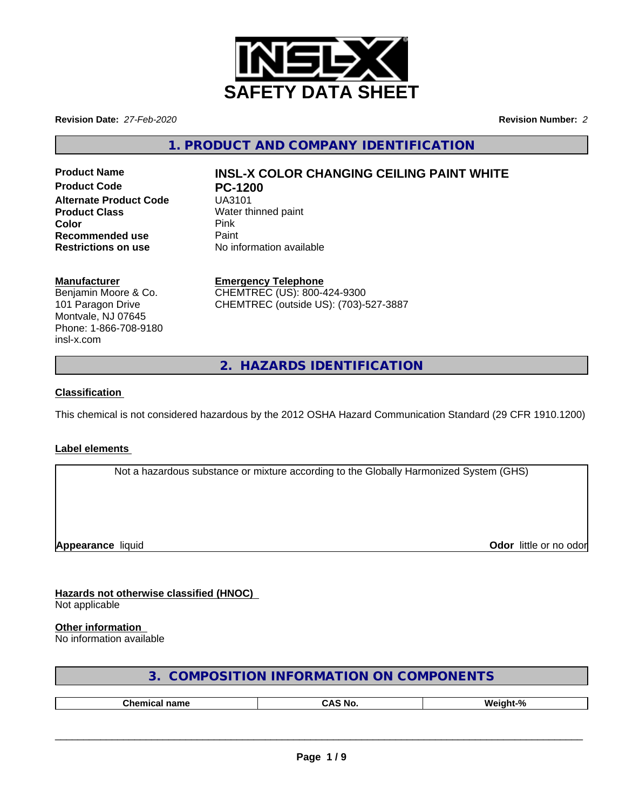

**Revision Date:** *27-Feb-2020* **Revision Number:** *2*

**1. PRODUCT AND COMPANY IDENTIFICATION**

**Product Code PC-1200 Alternate Product Code** UA3101 **Product Class** Water thinned paint **Color** Pink **Pink Recommended use** Paint<br> **Restrictions on use** No inf

# **Product Name INSL-X COLOR CHANGING CEILING PAINT WHITE**

**No information available** 

### **Manufacturer**

Benjamin Moore & Co. 101 Paragon Drive Montvale, NJ 07645 Phone: 1-866-708-9180 insl-x.com

**Emergency Telephone** CHEMTREC (US): 800-424-9300 CHEMTREC (outside US): (703)-527-3887

**2. HAZARDS IDENTIFICATION**

### **Classification**

This chemical is not considered hazardous by the 2012 OSHA Hazard Communication Standard (29 CFR 1910.1200)

#### **Label elements**

Not a hazardous substance or mixture according to the Globally Harmonized System (GHS)

**Appearance** liquid

**Odor** little or no odor

**Hazards not otherwise classified (HNOC)** Not applicable

#### **Other information**

No information available

| 3. COMPOSITION INFORMATION ON COMPONENTS |  |
|------------------------------------------|--|
|------------------------------------------|--|

| --<br> | N6 |  |
|--------|----|--|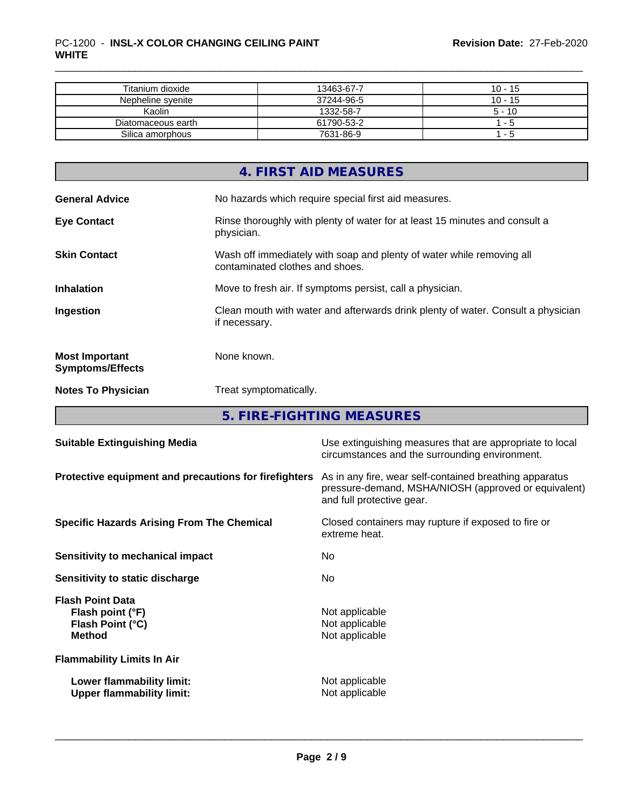| Titanium dioxide   | 13463-67-7 | $10 - 15$ |
|--------------------|------------|-----------|
| Nepheline syenite  | 37244-96-5 | $10 - 15$ |
| Kaolin             | 1332-58-7  | $5 - 10$  |
| Diatomaceous earth | 61790-53-2 | l - 5     |
| Silica amorphous   | 7631-86-9  | : - 5     |

|                                                  | 4. FIRST AID MEASURES                                                                                    |
|--------------------------------------------------|----------------------------------------------------------------------------------------------------------|
| <b>General Advice</b>                            | No hazards which require special first aid measures.                                                     |
| <b>Eye Contact</b>                               | Rinse thoroughly with plenty of water for at least 15 minutes and consult a<br>physician.                |
| <b>Skin Contact</b>                              | Wash off immediately with soap and plenty of water while removing all<br>contaminated clothes and shoes. |
| <b>Inhalation</b>                                | Move to fresh air. If symptoms persist, call a physician.                                                |
| Ingestion                                        | Clean mouth with water and afterwards drink plenty of water. Consult a physician<br>if necessary.        |
| <b>Most Important</b><br><b>Symptoms/Effects</b> | None known.                                                                                              |
| <b>Notes To Physician</b>                        | Treat symptomatically.                                                                                   |

**5. FIRE-FIGHTING MEASURES**

| Use extinguishing measures that are appropriate to local<br>circumstances and the surrounding environment.                                   |
|----------------------------------------------------------------------------------------------------------------------------------------------|
| As in any fire, wear self-contained breathing apparatus<br>pressure-demand, MSHA/NIOSH (approved or equivalent)<br>and full protective gear. |
| Closed containers may rupture if exposed to fire or<br>extreme heat.                                                                         |
| No.                                                                                                                                          |
| No.                                                                                                                                          |
| Not applicable<br>Not applicable<br>Not applicable                                                                                           |
|                                                                                                                                              |
| Not applicable<br>Not applicable                                                                                                             |
|                                                                                                                                              |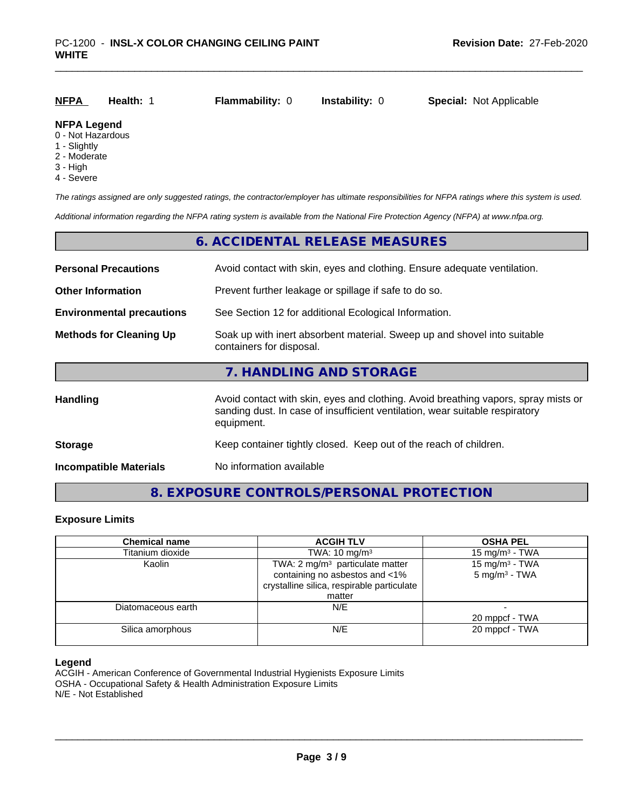| <u>NFPA</u>        | Health: 1 | <b>Flammability: 0</b> | <b>Instability: 0</b> | <b>Special: Not Applicable</b> |  |
|--------------------|-----------|------------------------|-----------------------|--------------------------------|--|
| <b>NFPA Legend</b> |           |                        |                       |                                |  |

# 0 - Not Hazardous

- 1 Slightly
- 2 Moderate
- 3 High
- 4 Severe

*The ratings assigned are only suggested ratings, the contractor/employer has ultimate responsibilities for NFPA ratings where this system is used.*

*Additional information regarding the NFPA rating system is available from the National Fire Protection Agency (NFPA) at www.nfpa.org.*

### **6. ACCIDENTAL RELEASE MEASURES**

| <b>Personal Precautions</b>      | Avoid contact with skin, eyes and clothing. Ensure adequate ventilation.                                                                                                         |  |  |
|----------------------------------|----------------------------------------------------------------------------------------------------------------------------------------------------------------------------------|--|--|
| <b>Other Information</b>         | Prevent further leakage or spillage if safe to do so.                                                                                                                            |  |  |
| <b>Environmental precautions</b> | See Section 12 for additional Ecological Information.                                                                                                                            |  |  |
| <b>Methods for Cleaning Up</b>   | Soak up with inert absorbent material. Sweep up and shovel into suitable<br>containers for disposal.                                                                             |  |  |
|                                  | 7. HANDLING AND STORAGE                                                                                                                                                          |  |  |
| Handling                         | Avoid contact with skin, eyes and clothing. Avoid breathing vapors, spray mists or<br>sanding dust. In case of insufficient ventilation, wear suitable respiratory<br>equipment. |  |  |
| <b>Storage</b>                   | Keep container tightly closed. Keep out of the reach of children.                                                                                                                |  |  |
| <b>Incompatible Materials</b>    | No information available                                                                                                                                                         |  |  |

# **8. EXPOSURE CONTROLS/PERSONAL PROTECTION**

#### **Exposure Limits**

| <b>Chemical name</b> | <b>ACGIH TLV</b>                            | <b>OSHA PEL</b>            |
|----------------------|---------------------------------------------|----------------------------|
| Titanium dioxide     | TWA: $10 \text{ mg/m}^3$                    | 15 mg/m <sup>3</sup> - TWA |
| Kaolin               | TWA: 2 mg/m <sup>3</sup> particulate matter | 15 mg/m <sup>3</sup> - TWA |
|                      | containing no asbestos and <1%              | $5 \text{ mg/m}^3$ - TWA   |
|                      | crystalline silica, respirable particulate  |                            |
|                      | matter                                      |                            |
| Diatomaceous earth   | N/E                                         |                            |
|                      |                                             | 20 mppcf - TWA             |
| Silica amorphous     | N/E                                         | 20 mppcf - TWA             |
|                      |                                             |                            |

#### **Legend**

ACGIH - American Conference of Governmental Industrial Hygienists Exposure Limits OSHA - Occupational Safety & Health Administration Exposure Limits N/E - Not Established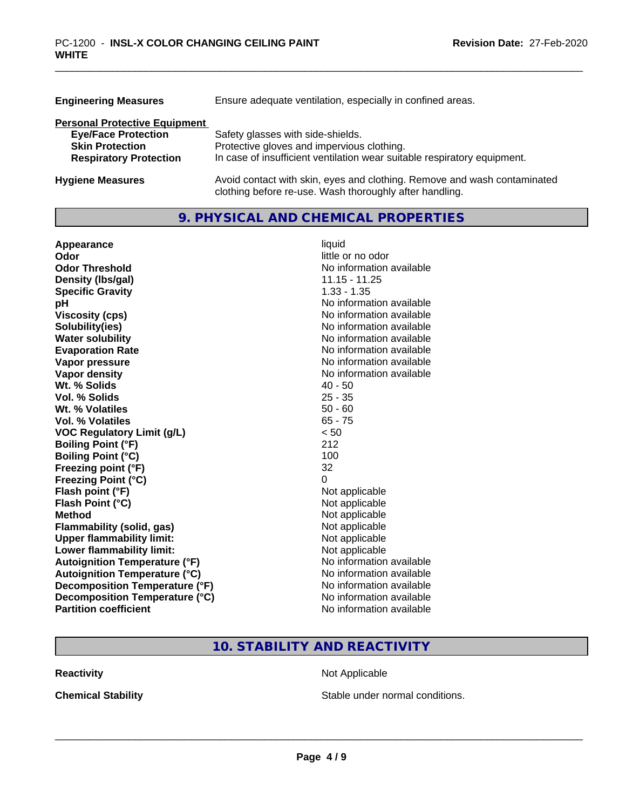| <b>Engineering Measures</b>          | Ensure adequate ventilation, especially in confined areas.                                                                          |
|--------------------------------------|-------------------------------------------------------------------------------------------------------------------------------------|
| <b>Personal Protective Equipment</b> |                                                                                                                                     |
| <b>Eye/Face Protection</b>           | Safety glasses with side-shields.                                                                                                   |
| <b>Skin Protection</b>               | Protective gloves and impervious clothing.                                                                                          |
| <b>Respiratory Protection</b>        | In case of insufficient ventilation wear suitable respiratory equipment.                                                            |
| <b>Hygiene Measures</b>              | Avoid contact with skin, eyes and clothing. Remove and wash contaminated<br>clothing before re-use. Wash thoroughly after handling. |

# **9. PHYSICAL AND CHEMICAL PROPERTIES**

| Appearance                           | liquid                   |
|--------------------------------------|--------------------------|
| Odor                                 | little or no odor        |
| <b>Odor Threshold</b>                | No information available |
| Density (Ibs/gal)                    | $11.15 - 11.25$          |
| <b>Specific Gravity</b>              | $1.33 - 1.35$            |
| pH                                   | No information available |
| <b>Viscosity (cps)</b>               | No information available |
| Solubility(ies)                      | No information available |
| <b>Water solubility</b>              | No information available |
| <b>Evaporation Rate</b>              | No information available |
| Vapor pressure                       | No information available |
| Vapor density                        | No information available |
| Wt. % Solids                         | $40 - 50$                |
| Vol. % Solids                        | $25 - 35$                |
| Wt. % Volatiles                      | $50 - 60$                |
| <b>Vol. % Volatiles</b>              | $65 - 75$                |
| <b>VOC Regulatory Limit (g/L)</b>    | < 50                     |
| <b>Boiling Point (°F)</b>            | 212                      |
| <b>Boiling Point (°C)</b>            | 100                      |
| Freezing point (°F)                  | 32                       |
| <b>Freezing Point (°C)</b>           | 0                        |
| Flash point (°F)                     | Not applicable           |
| Flash Point (°C)                     | Not applicable           |
| <b>Method</b>                        | Not applicable           |
| Flammability (solid, gas)            | Not applicable           |
| <b>Upper flammability limit:</b>     | Not applicable           |
| Lower flammability limit:            | Not applicable           |
| <b>Autoignition Temperature (°F)</b> | No information available |
| <b>Autoignition Temperature (°C)</b> | No information available |
| Decomposition Temperature (°F)       | No information available |
| Decomposition Temperature (°C)       | No information available |
| <b>Partition coefficient</b>         | No information available |

# **10. STABILITY AND REACTIVITY**

**Reactivity Not Applicable Not Applicable** 

**Chemical Stability Chemical Stability** Stable under normal conditions.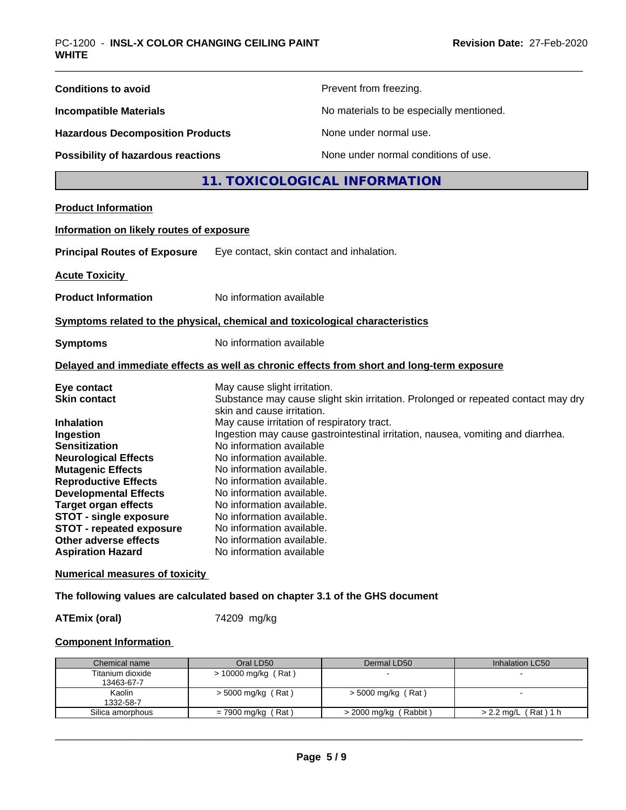| <b>Conditions to avoid</b>                                                   |                                                        | Prevent from freezing.                                                                     |
|------------------------------------------------------------------------------|--------------------------------------------------------|--------------------------------------------------------------------------------------------|
| <b>Incompatible Materials</b>                                                |                                                        | No materials to be especially mentioned.                                                   |
| <b>Hazardous Decomposition Products</b>                                      |                                                        | None under normal use.                                                                     |
| Possibility of hazardous reactions                                           |                                                        | None under normal conditions of use.                                                       |
|                                                                              | 11. TOXICOLOGICAL INFORMATION                          |                                                                                            |
| <b>Product Information</b>                                                   |                                                        |                                                                                            |
| Information on likely routes of exposure                                     |                                                        |                                                                                            |
| <b>Principal Routes of Exposure</b>                                          | Eye contact, skin contact and inhalation.              |                                                                                            |
|                                                                              |                                                        |                                                                                            |
| <b>Acute Toxicity</b>                                                        |                                                        |                                                                                            |
| <b>Product Information</b>                                                   | No information available                               |                                                                                            |
| Symptoms related to the physical, chemical and toxicological characteristics |                                                        |                                                                                            |
| <b>Symptoms</b>                                                              | No information available                               |                                                                                            |
|                                                                              |                                                        | Delayed and immediate effects as well as chronic effects from short and long-term exposure |
| Eye contact                                                                  | May cause slight irritation.                           |                                                                                            |
| <b>Skin contact</b>                                                          | skin and cause irritation.                             | Substance may cause slight skin irritation. Prolonged or repeated contact may dry          |
| <b>Inhalation</b>                                                            | May cause irritation of respiratory tract.             |                                                                                            |
| Ingestion                                                                    |                                                        | Ingestion may cause gastrointestinal irritation, nausea, vomiting and diarrhea.            |
| <b>Sensitization</b>                                                         | No information available                               |                                                                                            |
| <b>Neurological Effects</b>                                                  | No information available.                              |                                                                                            |
| <b>Mutagenic Effects</b>                                                     | No information available.                              |                                                                                            |
| <b>Reproductive Effects</b>                                                  | No information available.                              |                                                                                            |
| <b>Developmental Effects</b>                                                 | No information available.                              |                                                                                            |
| <b>Target organ effects</b><br><b>STOT - single exposure</b>                 | No information available.<br>No information available. |                                                                                            |
| <b>STOT - repeated exposure</b>                                              | No information available                               |                                                                                            |
| Other adverse effects                                                        | No information available.                              |                                                                                            |
| <b>Aspiration Hazard</b>                                                     | No information available                               |                                                                                            |
| <b>Numerical measures of toxicity</b>                                        |                                                        |                                                                                            |
| The following values are calculated based on chapter 3.1 of the GHS document |                                                        |                                                                                            |
| <b>ATEmix (oral)</b>                                                         | 74209 mg/kg                                            |                                                                                            |

# **Component Information**

| Chemical name    | Oral LD50             | Dermal LD50             | Inhalation LC50      |
|------------------|-----------------------|-------------------------|----------------------|
| Titanium dioxide | $> 10000$ mg/kg (Rat) |                         |                      |
| 13463-67-7       |                       |                         |                      |
| Kaolin           | $>$ 5000 mg/kg (Rat)  | > 5000 mg/kg (Rat)      |                      |
| 1332-58-7        |                       |                         |                      |
| Silica amorphous | $= 7900$ mg/kg (Rat)  | $>$ 2000 mg/kg (Rabbit) | > 2.2 mg/L (Rat) 1 h |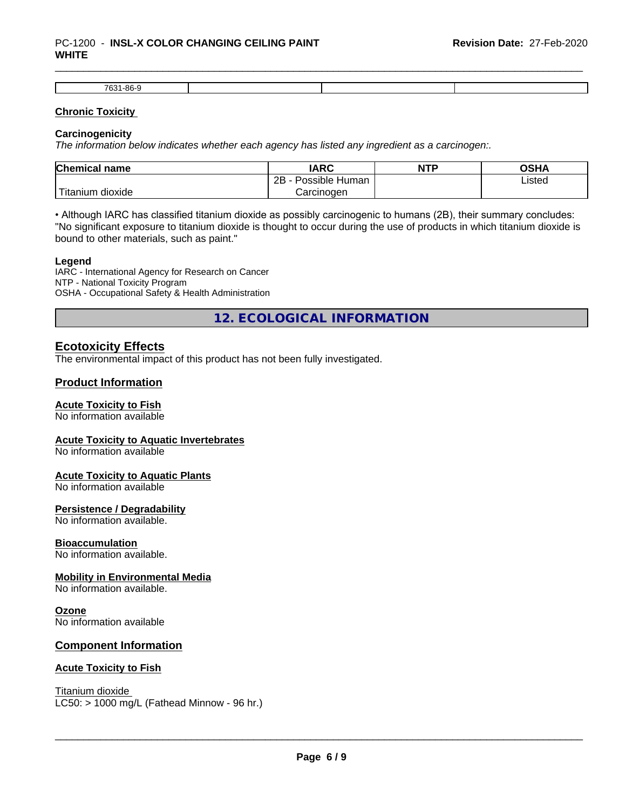#### \_\_\_\_\_\_\_\_\_\_\_\_\_\_\_\_\_\_\_\_\_\_\_\_\_\_\_\_\_\_\_\_\_\_\_\_\_\_\_\_\_\_\_\_\_\_\_\_\_\_\_\_\_\_\_\_\_\_\_\_\_\_\_\_\_\_\_\_\_\_\_\_\_\_\_\_\_\_\_\_\_\_\_\_\_\_\_\_\_\_\_\_\_ PC-1200 - **INSL-X COLOR CHANGING CEILING PAINT WHITE**

| $\sim$<br>700<br>.<br>-oc<br>. יט |  |  |
|-----------------------------------|--|--|

#### **Chronic Toxicity**

#### **Carcinogenicity**

*The information below indicateswhether each agency has listed any ingredient as a carcinogen:.*

| <b>Chemical name</b>              | <b>IARC</b>                  | NTP | ດເ⊔∧<br>∪J∏≁ |
|-----------------------------------|------------------------------|-----|--------------|
|                                   | .<br>2B<br>Human<br>Possible |     | ∟isted       |
| $-1$<br>dioxide<br><b>itanium</b> | Carcinogen                   |     |              |

• Although IARC has classified titanium dioxide as possibly carcinogenic to humans (2B), their summary concludes: "No significant exposure to titanium dioxide is thought to occur during the use of products in which titanium dioxide is bound to other materials, such as paint."

#### **Legend**

IARC - International Agency for Research on Cancer NTP - National Toxicity Program OSHA - Occupational Safety & Health Administration

**12. ECOLOGICAL INFORMATION**

# **Ecotoxicity Effects**

The environmental impact of this product has not been fully investigated.

# **Product Information**

### **Acute Toxicity to Fish**

No information available

#### **Acute Toxicity to Aquatic Invertebrates**

No information available

#### **Acute Toxicity to Aquatic Plants**

No information available

#### **Persistence / Degradability**

No information available.

#### **Bioaccumulation**

No information available.

#### **Mobility in Environmental Media**

No information available.

### **Ozone**

No information available

### **Component Information**

#### **Acute Toxicity to Fish**

Titanium dioxide  $LC50:$  > 1000 mg/L (Fathead Minnow - 96 hr.)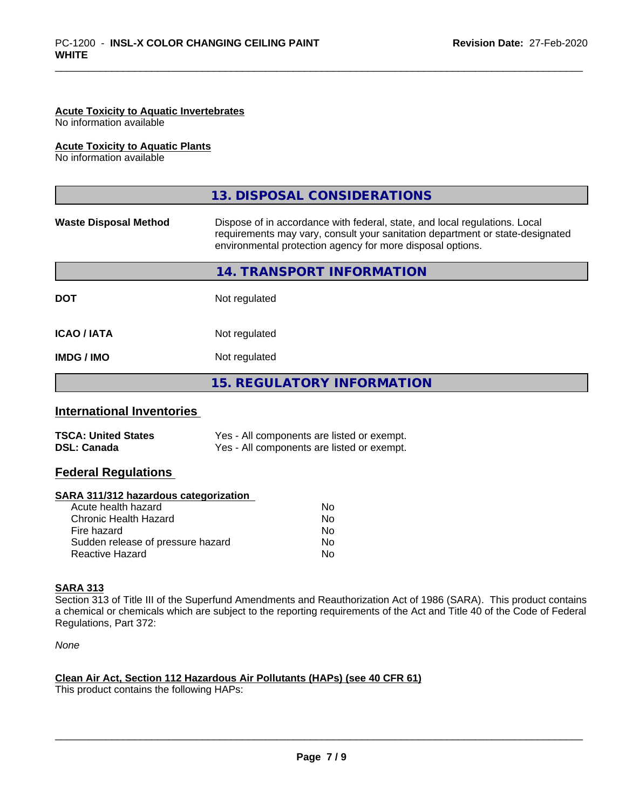#### **Acute Toxicity to Aquatic Invertebrates**

No information available

#### **Acute Toxicity to Aquatic Plants**

No information available

|                              | 13. DISPOSAL CONSIDERATIONS                                                                                                                                                                                               |  |
|------------------------------|---------------------------------------------------------------------------------------------------------------------------------------------------------------------------------------------------------------------------|--|
| <b>Waste Disposal Method</b> | Dispose of in accordance with federal, state, and local regulations. Local<br>requirements may vary, consult your sanitation department or state-designated<br>environmental protection agency for more disposal options. |  |
|                              | 14. TRANSPORT INFORMATION                                                                                                                                                                                                 |  |
| <b>DOT</b>                   | Not regulated                                                                                                                                                                                                             |  |
| <b>ICAO/IATA</b>             | Not regulated                                                                                                                                                                                                             |  |
| <b>IMDG/IMO</b>              | Not regulated                                                                                                                                                                                                             |  |
|                              | <b>15. REGULATORY INFORMATION</b>                                                                                                                                                                                         |  |

### **International Inventories**

| <b>TSCA: United States</b> | Yes - All components are listed or exempt. |
|----------------------------|--------------------------------------------|
| <b>DSL: Canada</b>         | Yes - All components are listed or exempt. |

### **Federal Regulations**

#### **SARA 311/312 hazardous categorization**

| No |
|----|
| Nο |
| No |
| Nο |
| N٥ |
|    |

#### **SARA 313**

Section 313 of Title III of the Superfund Amendments and Reauthorization Act of 1986 (SARA). This product contains a chemical or chemicals which are subject to the reporting requirements of the Act and Title 40 of the Code of Federal Regulations, Part 372:

*None*

### **Clean Air Act,Section 112 Hazardous Air Pollutants (HAPs) (see 40 CFR 61)**

This product contains the following HAPs: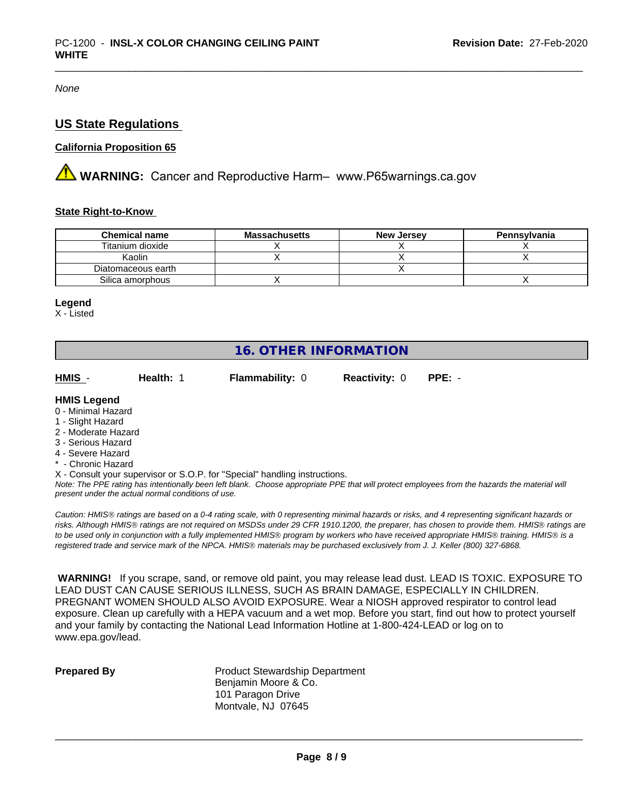*None*

# **US State Regulations**

# **California Proposition 65**

**WARNING:** Cancer and Reproductive Harm– www.P65warnings.ca.gov

#### **State Right-to-Know**

| <b>Chemical name</b> | <b>Massachusetts</b> | <b>New Jersey</b> | Pennsylvania |
|----------------------|----------------------|-------------------|--------------|
| Titanium dioxide     |                      |                   |              |
| Kaolin               |                      |                   |              |
| Diatomaceous earth   |                      |                   |              |
| Silica amorphous     |                      |                   |              |

#### **Legend**

X - Listed

# **16. OTHER INFORMATION**

| HMIS                | Health: 1 | <b>Flammability: 0</b> | <b>Reactivity: 0</b> | $PPE: -$ |  |
|---------------------|-----------|------------------------|----------------------|----------|--|
| <b>HMIS Legend</b>  |           |                        |                      |          |  |
| 0 - Minimal Hazard  |           |                        |                      |          |  |
| 1 - Slight Hazard   |           |                        |                      |          |  |
| 2 - Moderate Hazard |           |                        |                      |          |  |
| .                   |           |                        |                      |          |  |

- 3 Serious Hazard
- 4 Severe Hazard
- \* Chronic Hazard
- X Consult your supervisor or S.O.P. for "Special" handling instructions.

*Note: The PPE rating has intentionally been left blank. Choose appropriate PPE that will protect employees from the hazards the material will present under the actual normal conditions of use.*

*Caution: HMISÒ ratings are based on a 0-4 rating scale, with 0 representing minimal hazards or risks, and 4 representing significant hazards or risks. Although HMISÒ ratings are not required on MSDSs under 29 CFR 1910.1200, the preparer, has chosen to provide them. HMISÒ ratings are to be used only in conjunction with a fully implemented HMISÒ program by workers who have received appropriate HMISÒ training. HMISÒ is a registered trade and service mark of the NPCA. HMISÒ materials may be purchased exclusively from J. J. Keller (800) 327-6868.*

 **WARNING!** If you scrape, sand, or remove old paint, you may release lead dust. LEAD IS TOXIC. EXPOSURE TO LEAD DUST CAN CAUSE SERIOUS ILLNESS, SUCH AS BRAIN DAMAGE, ESPECIALLY IN CHILDREN. PREGNANT WOMEN SHOULD ALSO AVOID EXPOSURE. Wear a NIOSH approved respirator to control lead exposure. Clean up carefully with a HEPA vacuum and a wet mop. Before you start, find out how to protect yourself and your family by contacting the National Lead Information Hotline at 1-800-424-LEAD or log on to www.epa.gov/lead.

**Prepared By** Product Stewardship Department Benjamin Moore & Co. 101 Paragon Drive Montvale, NJ 07645